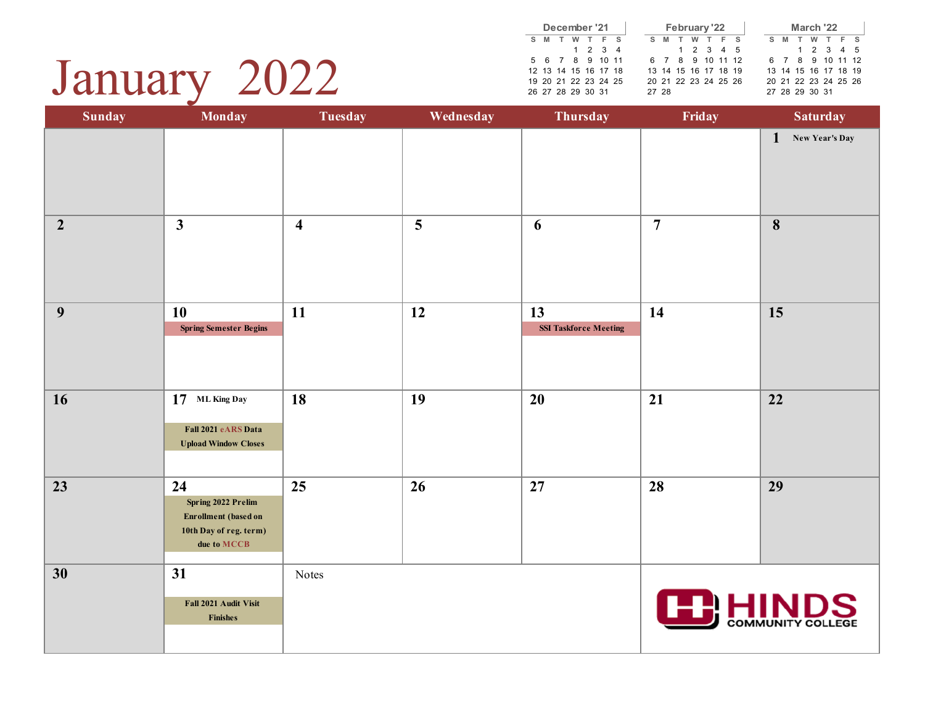| January |  | 2022 |
|---------|--|------|
|---------|--|------|

|                      |   | December '21    |  |  |       |       | February '22         |                      |  |       | March '22            |                     |  |
|----------------------|---|-----------------|--|--|-------|-------|----------------------|----------------------|--|-------|----------------------|---------------------|--|
| M                    | T | W T F S         |  |  |       | S M T | W T F S              |                      |  | S M T |                      | W T F S             |  |
|                      |   | $1 \t2 \t3 \t4$ |  |  |       |       | 1 2 3 4 5            |                      |  |       |                      | $1 \t2 \t3 \t4 \t5$ |  |
| 5 6 7 8 9 10 11      |   |                 |  |  |       |       |                      | 6 7 8 9 10 11 12     |  |       | 6 7 8 9 10 11 12     |                     |  |
| 12 13 14 15 16 17 18 |   |                 |  |  |       |       | 13 14 15 16 17 18 19 |                      |  |       | 13 14 15 16 17 18 19 |                     |  |
| 19 20 21 22 23 24 25 |   |                 |  |  |       |       |                      | 20 21 22 23 24 25 26 |  |       | 20 21 22 23 24 25 26 |                     |  |
| 26 27 28 29 30 31    |   |                 |  |  | 27 28 |       |                      |                      |  |       | 27 28 29 30 31       |                     |  |

| <b>Sunday</b>  | <b>Monday</b>                                                                                    | <b>Tuesday</b>          | Wednesday | Thursday                           | Friday         | <b>Saturday</b>                |
|----------------|--------------------------------------------------------------------------------------------------|-------------------------|-----------|------------------------------------|----------------|--------------------------------|
|                |                                                                                                  |                         |           |                                    |                | $\mathbf{1}$<br>New Year's Day |
| $\overline{2}$ | $\mathbf{3}$                                                                                     | $\overline{\mathbf{4}}$ | 5         | 6                                  | $\overline{7}$ | $\boldsymbol{8}$               |
| 9              | <b>10</b><br><b>Spring Semester Begins</b>                                                       | 11                      | 12        | 13<br><b>SSI Taskforce Meeting</b> | 14             | 15                             |
| 16             | 17 ML King Day<br>Fall 2021 eARS Data<br><b>Upload Window Closes</b>                             | 18                      | 19        | 20                                 | 21             | 22                             |
| 23             | 24<br>Spring 2022 Prelim<br><b>Enrollment</b> (based on<br>10th Day of reg. term)<br>due to MCCB | 25                      | 26        | 27                                 | 28             | 29                             |
| 30             | 31<br>Fall 2021 Audit Visit<br><b>Finishes</b>                                                   | Notes                   |           |                                    | <b>FERHIN</b>  | <b>COMMUNITY COLLEGE</b>       |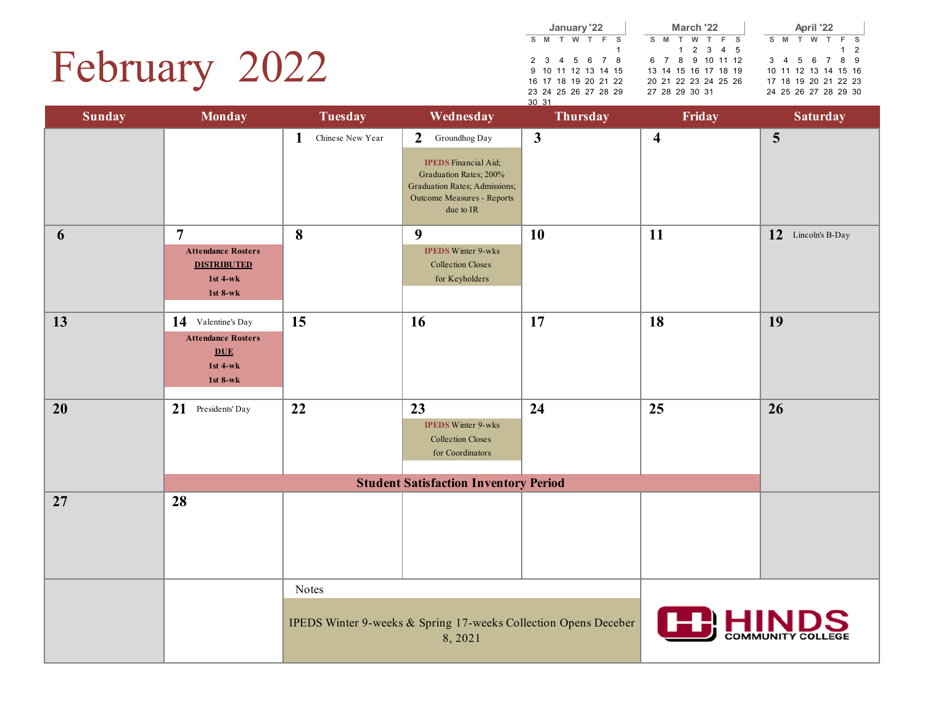# February 2022

|       |   | January '22          |   |       |  |    |   | March '22            |           |  |    |
|-------|---|----------------------|---|-------|--|----|---|----------------------|-----------|--|----|
| s.    | M |                      | w | T F S |  | s. | M | T                    | W T F S   |  |    |
|       |   |                      |   |       |  |    |   |                      | 1 2 3 4 5 |  |    |
|       |   | 2 3 4 5 6 7 8        |   |       |  |    |   | 6 7 8 9 10 11 12     |           |  | 3  |
|       |   | 9 10 11 12 13 14 15  |   |       |  |    |   | 13 14 15 16 17 18 19 |           |  | 10 |
|       |   | 16 17 18 19 20 21 22 |   |       |  |    |   | 20 21 22 23 24 25 26 |           |  | 17 |
|       |   | 23 24 25 26 27 28 29 |   |       |  |    |   | 27 28 29 30 31       |           |  | 24 |
| 30 31 |   |                      |   |       |  |    |   |                      |           |  |    |

| April '22            |  |  |  |  |             |  |  |  |  |  |  |  |  |
|----------------------|--|--|--|--|-------------|--|--|--|--|--|--|--|--|
| S M T W T F S        |  |  |  |  |             |  |  |  |  |  |  |  |  |
|                      |  |  |  |  | $1 \quad 2$ |  |  |  |  |  |  |  |  |
| 3 4 5 6 7 8 9        |  |  |  |  |             |  |  |  |  |  |  |  |  |
| 10 11 12 13 14 15 16 |  |  |  |  |             |  |  |  |  |  |  |  |  |
| 17 18 19 20 21 22 23 |  |  |  |  |             |  |  |  |  |  |  |  |  |
| 24 25 26 27 28 29 30 |  |  |  |  |             |  |  |  |  |  |  |  |  |

| <b>Sunday</b> | <b>Monday</b>                                                                             | <b>Tuesday</b>        | Wednesday                                                                                                                                                            | Thursday     | Friday                  | <b>Saturday</b>          |
|---------------|-------------------------------------------------------------------------------------------|-----------------------|----------------------------------------------------------------------------------------------------------------------------------------------------------------------|--------------|-------------------------|--------------------------|
|               |                                                                                           | Chinese New Year<br>1 | Groundhog Day<br>$\overline{2}$<br><b>IPEDS</b> Financial Aid;<br>Graduation Rates; 200%<br>Graduation Rates; Admissions;<br>Outcome Measures - Reports<br>due to IR | $\mathbf{3}$ | $\overline{\mathbf{4}}$ | $5\phantom{.0}$          |
| 6             | $\overline{7}$<br><b>Attendance Rosters</b><br><b>DISTRIBUTED</b><br>1st 4-wk<br>1st 8-wk | 8                     | 9<br><b>IPEDS Winter 9-wks</b><br><b>Collection Closes</b><br>for Keyholders                                                                                         | <b>10</b>    | 11                      | 12 Lincoln's B-Day       |
| 13            | 14 Valentine's Day<br><b>Attendance Rosters</b><br><b>DUE</b><br>1st 4-wk<br>1st 8-wk     | 15                    | 16                                                                                                                                                                   | 17           | 18                      | 19                       |
| 20            | 21 Presidents' Day                                                                        | 22                    | 23<br><b>IPEDS Winter 9-wks</b><br><b>Collection Closes</b><br>for Coordinators<br><b>Student Satisfaction Inventory Period</b>                                      | 24           | 25                      | 26                       |
| 27            | 28                                                                                        |                       |                                                                                                                                                                      |              |                         |                          |
|               |                                                                                           | Notes                 | IPEDS Winter 9-weeks & Spring 17-weeks Collection Opens Deceber<br>8,2021                                                                                            |              |                         | <b>COMMUNITY COLLEGE</b> |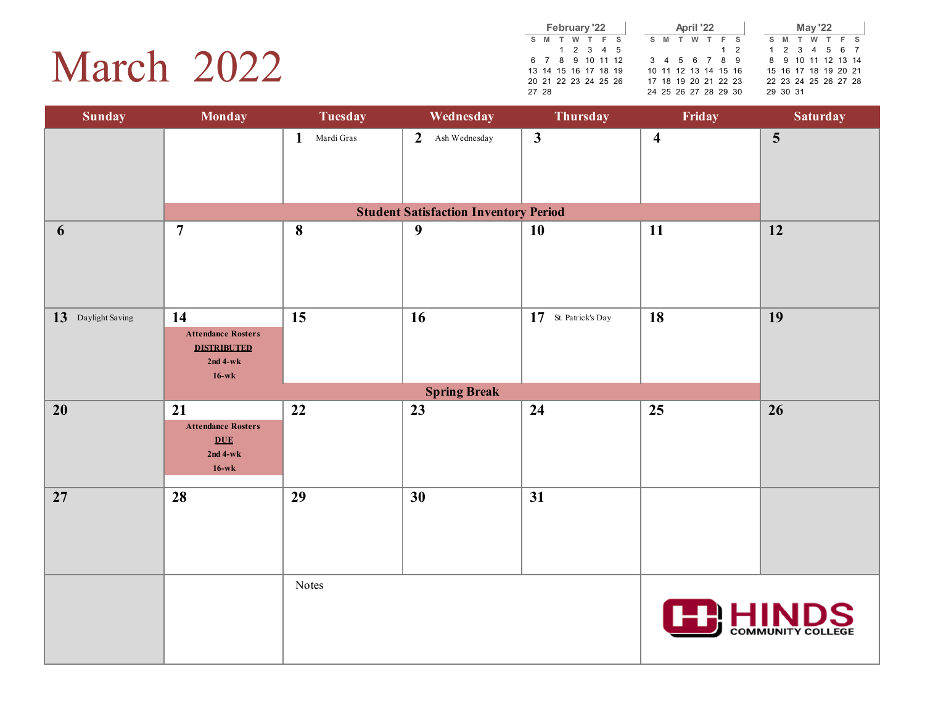## March 2022

|  |       |     |   | February '22         |  |  |     |   | April '22            |     |    |          |      | <b>May '22</b> |                      |  |
|--|-------|-----|---|----------------------|--|--|-----|---|----------------------|-----|----|----------|------|----------------|----------------------|--|
|  | $S$ M | - т | W | T F S                |  |  | S M | T | W T F S              |     | S. | <b>M</b> | $-T$ |                | W T F S              |  |
|  |       |     |   | 1 2 3 4 5            |  |  |     |   |                      | 1 2 |    |          |      |                | 1 2 3 4 5 6 7        |  |
|  |       |     |   | 6 7 8 9 10 11 12     |  |  |     |   | 3 4 5 6 7 8 9        |     |    |          |      |                | 8 9 10 11 12 13 14   |  |
|  |       |     |   | 13 14 15 16 17 18 19 |  |  |     |   | 10 11 12 13 14 15 16 |     |    |          |      |                | 15 16 17 18 19 20 21 |  |
|  |       |     |   | 20 21 22 23 24 25 26 |  |  |     |   | 17 18 19 20 21 22 23 |     |    |          |      |                | 22 23 24 25 26 27 28 |  |
|  | 27 28 |     |   |                      |  |  |     |   | 24 25 26 27 28 29 30 |     |    | 29 30 31 |      |                |                      |  |

| <b>Sunday</b>         | <b>Monday</b>                                                                  | <b>Tuesday</b>                   | Wednesday                                    | Thursday             | Friday                  | <b>Saturday</b>         |
|-----------------------|--------------------------------------------------------------------------------|----------------------------------|----------------------------------------------|----------------------|-------------------------|-------------------------|
|                       |                                                                                | $\mathbf{1}$<br>Mardi $\rm Gras$ | $\overline{2}$<br>Ash Wednesday              | $\mathbf{3}$         | $\overline{\mathbf{4}}$ | $\overline{\mathbf{5}}$ |
|                       |                                                                                |                                  | <b>Student Satisfaction Inventory Period</b> |                      |                         |                         |
| 6                     | $\overline{7}$                                                                 | 8                                | $\boldsymbol{9}$                             | 10                   | 11                      | 12                      |
| 13<br>Daylight Saving | 14<br><b>Attendance Rosters</b><br><b>DISTRIBUTED</b><br>$2nd 4-wk$<br>$16-wk$ | 15                               | 16                                           | 17 St. Patrick's Day | 18                      | 19                      |
|                       |                                                                                |                                  | <b>Spring Break</b>                          |                      |                         |                         |
| $20\,$                | 21<br><b>Attendance Rosters</b><br><b>DUE</b><br>$2nd 4-wk$<br>$16-wk$         | 22                               | 23                                           | 24                   | 25                      | 26                      |
| 27                    | 28                                                                             | 29                               | 30                                           | 31                   |                         |                         |
|                       |                                                                                | Notes                            |                                              |                      |                         | COMMUNITY COLLEGE       |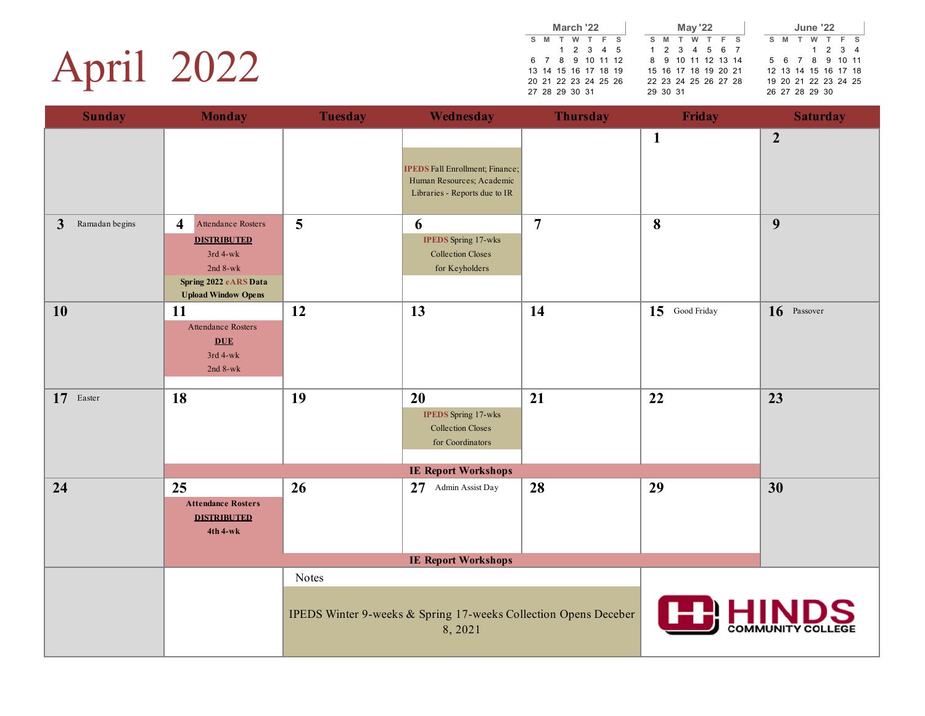## April 2022

|    |     | March '22            |           |  |          |       |                      | <b>May '22</b> |  |   |   | June '22       |  |                      |  |
|----|-----|----------------------|-----------|--|----------|-------|----------------------|----------------|--|---|---|----------------|--|----------------------|--|
| s. | M T |                      | W T F S   |  |          | $S$ M | T                    | W T F S        |  | s | M | T              |  | W T F S              |  |
|    |     |                      | 1 2 3 4 5 |  |          |       | 1 2 3 4 5 6 7        |                |  |   |   |                |  | 1 2 3 4              |  |
|    |     | 6 7 8 9 10 11 12     |           |  |          |       | 8 9 10 11 12 13 14   |                |  |   |   |                |  | 5 6 7 8 9 10 11      |  |
|    |     | 13 14 15 16 17 18 19 |           |  |          |       | 15 16 17 18 19 20 21 |                |  |   |   |                |  | 12 13 14 15 16 17 18 |  |
|    |     | 20 21 22 23 24 25 26 |           |  |          |       | 22 23 24 25 26 27 28 |                |  |   |   |                |  | 19 20 21 22 23 24 25 |  |
|    |     | 27 28 29 30 31       |           |  | 29 30 31 |       |                      |                |  |   |   | 26 27 28 29 30 |  |                      |  |

| <b>Sunday</b>                  | <b>Monday</b>                                                                                                          | <b>Tuesday</b> | Wednesday                                                                        | <b>Thursday</b> | <b>Friday</b>   | <b>Saturday</b> |
|--------------------------------|------------------------------------------------------------------------------------------------------------------------|----------------|----------------------------------------------------------------------------------|-----------------|-----------------|-----------------|
|                                |                                                                                                                        |                | <b>IPEDS</b> Fall Enrollment; Finance;<br>Human Resources; Academic              |                 | $\mathbf{1}$    | $\overline{2}$  |
|                                |                                                                                                                        |                | Libraries - Reports due to IR                                                    |                 |                 |                 |
| $\mathbf{3}$<br>Ramadan begins | $\overline{\mathbf{4}}$<br>Attendance Rosters<br><b>DISTRIBUTED</b><br>3rd 4-wk<br>$2nd$ 8-wk<br>Spring 2022 eARS Data | 5              | 6<br><b>IPEDS</b> Spring 17-wks<br><b>Collection Closes</b><br>for Keyholders    | $\overline{7}$  | 8               | 9               |
|                                | <b>Upload Window Opens</b>                                                                                             |                |                                                                                  |                 |                 |                 |
| 10                             | <b>11</b><br>Attendance Rosters<br><b>DUE</b><br>$3rd$ 4-wk<br>$2nd 8-wk$                                              | 12             | 13                                                                               | 14              | 15 Good Friday  | 16 Passover     |
| 17 Easter                      | 18                                                                                                                     | 19             | 20<br><b>IPEDS</b> Spring 17-wks<br><b>Collection Closes</b><br>for Coordinators | 21              | 22              | 23              |
|                                |                                                                                                                        |                | <b>IE Report Workshops</b>                                                       |                 |                 |                 |
| 24                             | 25<br><b>Attendance Rosters</b><br><b>DISTRIBUTED</b><br>4th 4-wk                                                      | 26             | 27<br>Admin Assist Day                                                           | 28              | 29              | 30              |
|                                |                                                                                                                        |                | <b>IE Report Workshops</b>                                                       |                 |                 |                 |
|                                |                                                                                                                        | Notes          | IPEDS Winter 9-weeks & Spring 17-weeks Collection Opens Deceber<br>8,2021        |                 | <b>FER HINI</b> |                 |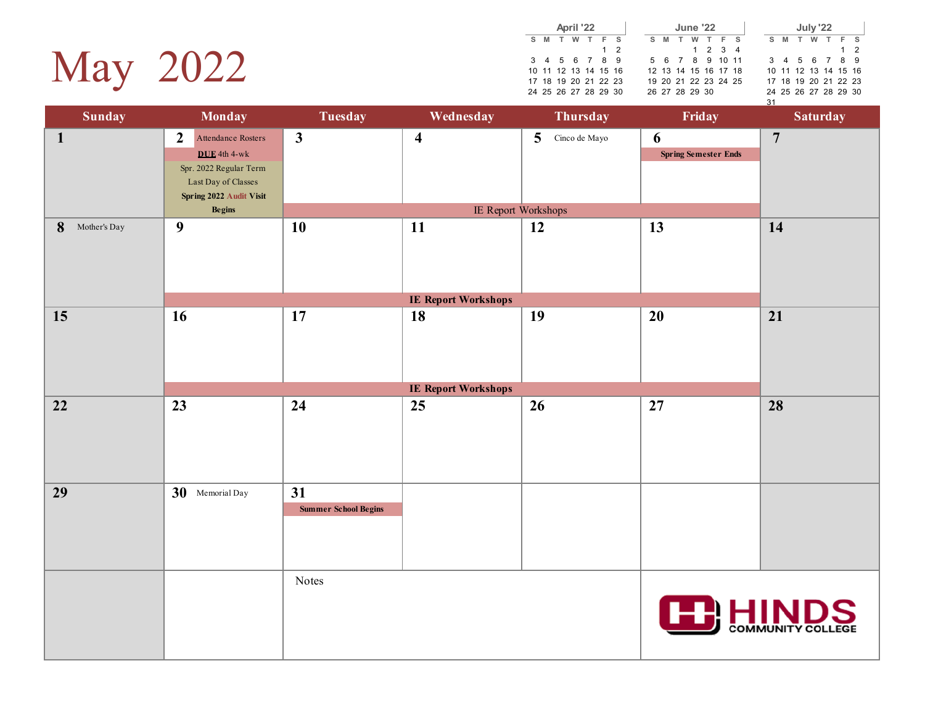

|  | <b>June '22</b>      |                |  |     |  | April '22 |                      |  |
|--|----------------------|----------------|--|-----|--|-----------|----------------------|--|
|  | S M T W T F S        |                |  |     |  |           | S M T W T F S        |  |
|  | $1 \t2 \t3 \t4$      |                |  | 1 2 |  |           |                      |  |
|  | 5 6 7 8 9 10 11      |                |  |     |  |           | 3 4 5 6 7 8 9        |  |
|  | 12 13 14 15 16 17 18 |                |  |     |  |           | 10 11 12 13 14 15 16 |  |
|  | 19 20 21 22 23 24 25 |                |  |     |  |           | 17 18 19 20 21 22 23 |  |
|  |                      | 26 27 28 29 30 |  |     |  |           | 24 25 26 27 28 29 30 |  |
|  |                      |                |  |     |  |           |                      |  |

**S M T W T F S** 1 2 3 4 5 6 7 8 9 10 11 12 13 14 15 16 17 18 19 20 21 22 23 24 25 26 27 28 29 30 31 **July '22**

| <b>Sunday</b>     | <b>Monday</b>                                                                                                                                       | <b>Tuesday</b>                    | Wednesday                        | Thursday                                               | Friday                           | <b>Saturday</b>          |
|-------------------|-----------------------------------------------------------------------------------------------------------------------------------------------------|-----------------------------------|----------------------------------|--------------------------------------------------------|----------------------------------|--------------------------|
| $\mathbf{1}$      | $\overline{2}$<br>Attendance Rosters<br>$DUE$ 4th 4-wk<br>Spr. 2022 Regular Term<br>Last Day of Classes<br>Spring 2022 Audit Visit<br><b>Begins</b> | $\overline{\mathbf{3}}$           | $\overline{\mathbf{4}}$          | 5 <sup>5</sup><br>Cinco de Mayo<br>IE Report Workshops | 6<br><b>Spring Semester Ends</b> | $\overline{7}$           |
| 8<br>Mother's Day | $\boldsymbol{9}$                                                                                                                                    | 10                                | 11<br><b>IE Report Workshops</b> | 12                                                     | 13                               | 14                       |
| 15                | 16                                                                                                                                                  | 17                                | 18<br><b>IE Report Workshops</b> | 19                                                     | 20                               | 21                       |
| 22                | 23                                                                                                                                                  | 24                                | 25                               | 26                                                     | 27                               | 28                       |
|                   |                                                                                                                                                     |                                   |                                  |                                                        |                                  |                          |
| 29                | 30 Memorial Day                                                                                                                                     | 31<br><b>Summer School Begins</b> |                                  |                                                        |                                  |                          |
|                   |                                                                                                                                                     | Notes                             |                                  |                                                        | <b>FRHIN</b>                     | <b>COMMUNITY COLLEGE</b> |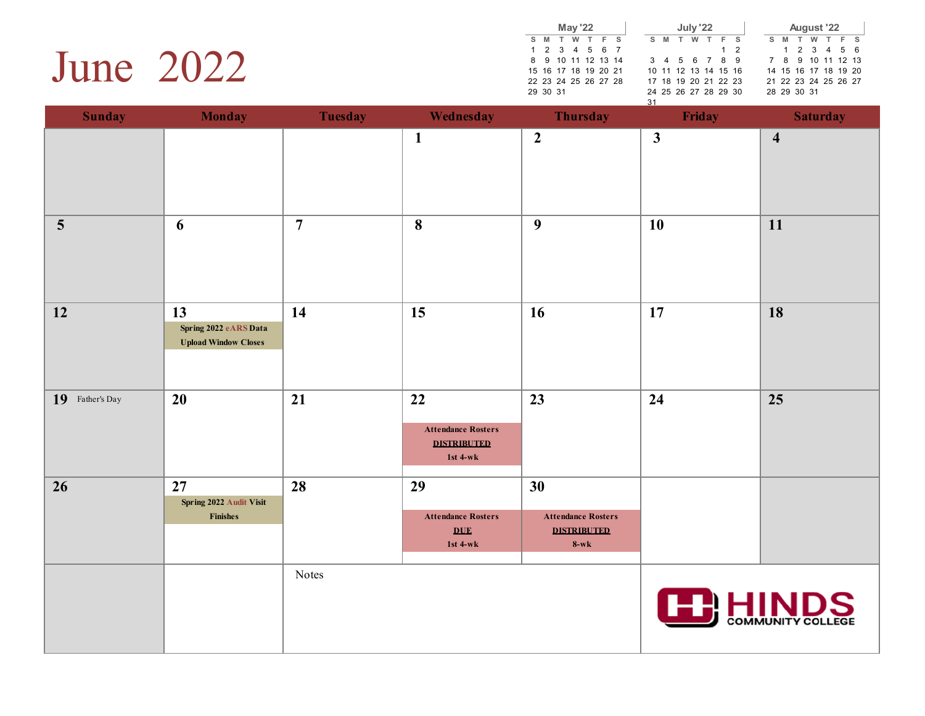#### June 2022

|    |          |                      | <b>May '22</b> |  |    |   | July '22 |                      |          |  |     | August '22           |  |         |  |
|----|----------|----------------------|----------------|--|----|---|----------|----------------------|----------|--|-----|----------------------|--|---------|--|
| S. | M        | T W T F S            |                |  | s  | M | w        | F S                  |          |  | S M | T                    |  | W T F S |  |
|    |          | 1 2 3 4 5 6 7        |                |  |    |   |          |                      | $1\quad$ |  |     | 1 2 3 4 5 6          |  |         |  |
|    |          | 8 9 10 11 12 13 14   |                |  |    |   |          | 3 4 5 6 7 8 9        |          |  |     | 7 8 9 10 11 12 13    |  |         |  |
|    |          | 15 16 17 18 19 20 21 |                |  |    |   |          | 10 11 12 13 14 15 16 |          |  |     | 14 15 16 17 18 19 20 |  |         |  |
|    |          | 22 23 24 25 26 27 28 |                |  |    |   |          | 17 18 19 20 21 22 23 |          |  |     | 21 22 23 24 25 26 27 |  |         |  |
|    | 29 30 31 |                      |                |  |    |   |          | 24 25 26 27 28 29 30 |          |  |     | 28 29 30 31          |  |         |  |
|    |          |                      |                |  | 31 |   |          |                      |          |  |     |                      |  |         |  |

| <b>Sunday</b>           | <b>Monday</b>                                                  | <b>Tuesday</b> | Wednesday                                                               | <b>Thursday</b>                                                 | Friday           | <b>Saturday</b>          |
|-------------------------|----------------------------------------------------------------|----------------|-------------------------------------------------------------------------|-----------------------------------------------------------------|------------------|--------------------------|
|                         |                                                                |                | $\mathbf{1}$                                                            | $\overline{2}$                                                  | $\mathbf{3}$     | $\overline{\mathbf{4}}$  |
| $\overline{\mathbf{5}}$ | 6                                                              | $\overline{7}$ | 8                                                                       | 9                                                               | 10               | 11                       |
| 12                      | 13<br>Spring 2022 eARS Data<br><b>Upload Window Closes</b>     | 14             | 15                                                                      | 16                                                              | 17               | 18                       |
| 19<br>Father's Day      | 20                                                             | 21             | 22<br><b>Attendance Rosters</b><br><b>DISTRIBUTED</b><br>1st $4-wk$     | 23                                                              | 24               | 25                       |
| 26                      | 27<br>Spring 2022 Audit Visit<br>$\noindent \textbf{Finishes}$ | 28             | 29<br><b>Attendance Rosters</b><br>$\underline{\text{DUE}}$<br>1st 4-wk | 30<br><b>Attendance Rosters</b><br><b>DISTRIBUTED</b><br>$8-wk$ |                  |                          |
|                         |                                                                | Notes          |                                                                         |                                                                 | <b>CE: HINDS</b> | <b>COMMUNITY COLLEGE</b> |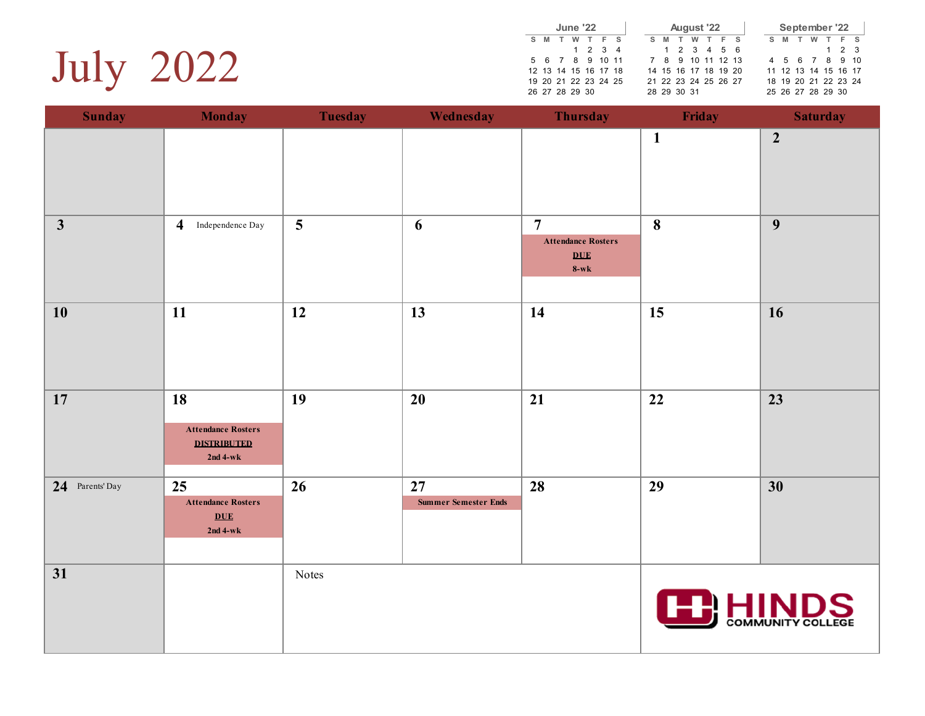

|    |                      | June '22 |                 |     |  |    |   |             | August '22           |     |  |    |   |   | September '22        |             |  |
|----|----------------------|----------|-----------------|-----|--|----|---|-------------|----------------------|-----|--|----|---|---|----------------------|-------------|--|
| s. | M                    | w        |                 | F S |  | S. | M |             | W                    | F S |  | S. | M | w |                      | F S         |  |
|    |                      |          | $1 \t2 \t3 \t4$ |     |  |    |   |             | 1 2 3 4 5 6          |     |  |    |   |   |                      | $1 \t2 \t3$ |  |
|    | 5 6 7 8 9 10 11      |          |                 |     |  |    |   |             | 7 8 9 10 11 12 13    |     |  |    |   |   | 4 5 6 7 8 9 10       |             |  |
|    | 12 13 14 15 16 17 18 |          |                 |     |  |    |   |             | 14 15 16 17 18 19 20 |     |  |    |   |   | 11 12 13 14 15 16 17 |             |  |
|    | 19 20 21 22 23 24 25 |          |                 |     |  |    |   |             | 21 22 23 24 25 26 27 |     |  |    |   |   | 18 19 20 21 22 23 24 |             |  |
|    | 26 27 28 29 30       |          |                 |     |  |    |   | 28 29 30 31 |                      |     |  |    |   |   | 25 26 27 28 29 30    |             |  |

| <b>Sunday</b>   | <b>Monday</b>                                                              | <b>Tuesday</b> | Wednesday                         | <b>Thursday</b>                                                     | Friday          | <b>Saturday</b>  |
|-----------------|----------------------------------------------------------------------------|----------------|-----------------------------------|---------------------------------------------------------------------|-----------------|------------------|
|                 |                                                                            |                |                                   |                                                                     | $\mathbf{1}$    | $\boldsymbol{2}$ |
| $\mathbf{3}$    | $\overline{\mathbf{4}}$<br>Independence Day                                | 5              | 6                                 | $\overline{7}$<br><b>Attendance Rosters</b><br><b>DUE</b><br>$8-wk$ | 8               | $\boldsymbol{9}$ |
| 10              | 11                                                                         | 12             | 13                                | 14                                                                  | 15              | 16               |
| 17              | <b>18</b><br><b>Attendance Rosters</b><br><b>DISTRIBUTED</b><br>$2nd 4-wk$ | 19             | 20                                | 21                                                                  | 22              | 23               |
| 24 Parents' Day | 25<br><b>Attendance Rosters</b><br>DUE<br>$2nd 4-wk$                       | 26             | 27<br><b>Summer Semester Ends</b> | 28                                                                  | 29              | 30               |
| 31              |                                                                            | Notes          |                                   |                                                                     | <b>ED HINDS</b> |                  |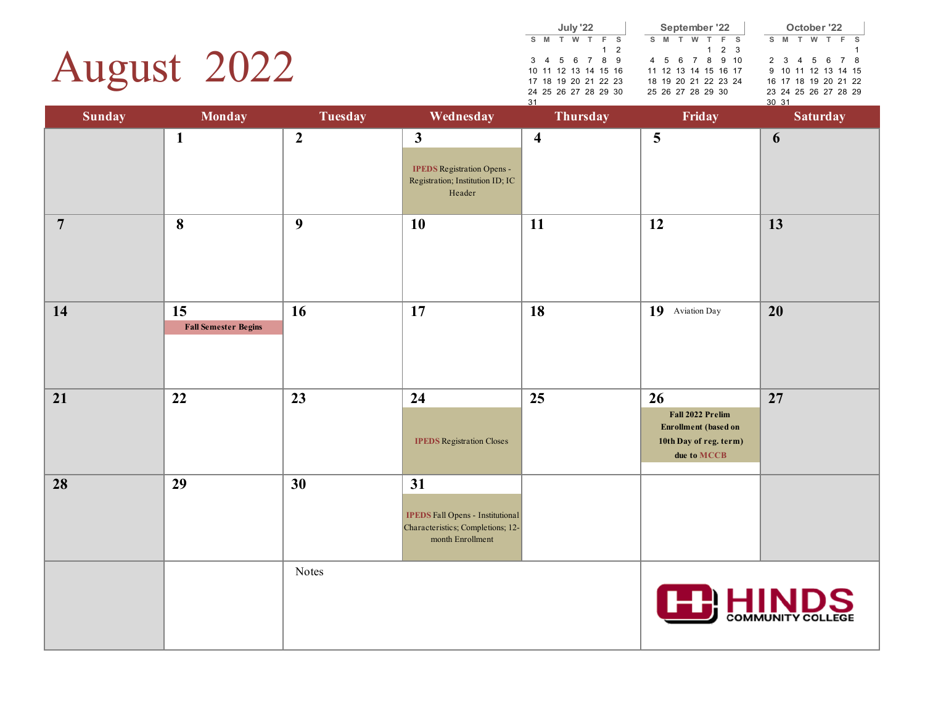## August 2022

|                      |   | July '22 |     |     |  | September '22        |  |         |             |  |    |          |   | October '22          |  |  |
|----------------------|---|----------|-----|-----|--|----------------------|--|---------|-------------|--|----|----------|---|----------------------|--|--|
| <b>M</b>             | T |          | W T |     |  | S M                  |  | W T F S |             |  | S. | <b>M</b> | T | w                    |  |  |
|                      |   |          |     | 1 2 |  |                      |  |         | $1 \t2 \t3$ |  |    |          |   |                      |  |  |
| 3 4 5 6 7 8 9        |   |          |     |     |  | 4 5 6 7 8 9 10       |  |         |             |  |    |          |   | 2 3 4 5 6 7 8        |  |  |
| 10 11 12 13 14 15 16 |   |          |     |     |  | 11 12 13 14 15 16 17 |  |         |             |  |    |          |   | 9 10 11 12 13 14 15  |  |  |
| 17 18 19 20 21 22 23 |   |          |     |     |  | 18 19 20 21 22 23 24 |  |         |             |  |    |          |   | 16 17 18 19 20 21 22 |  |  |
| 24 25 26 27 28 29 30 |   |          |     |     |  | 25 26 27 28 29 30    |  |         |             |  |    |          |   | 23 24 25 26 27 28 29 |  |  |
|                      |   |          |     |     |  |                      |  |         |             |  |    |          |   |                      |  |  |

| <b>Sunday</b>  | <b>Monday</b>                     | <b>Tuesday</b>   | Wednesday                                                                                              | ഄ<br>Thursday           | Friday                                                                                         | <u>ັນນັ້ນ 1</u><br><b>Saturday</b> |
|----------------|-----------------------------------|------------------|--------------------------------------------------------------------------------------------------------|-------------------------|------------------------------------------------------------------------------------------------|------------------------------------|
|                | $\mathbf{1}$                      | $\boldsymbol{2}$ | $\mathbf{3}$<br><b>IPEDS</b> Registration Opens -<br>Registration; Institution ID; IC<br>Header        | $\overline{\mathbf{4}}$ | $\overline{\mathbf{5}}$                                                                        | 6                                  |
| $\overline{7}$ | $\boldsymbol{8}$                  | $\boldsymbol{9}$ | <b>10</b>                                                                                              | 11                      | 12                                                                                             | 13                                 |
| 14             | 15<br><b>Fall Semester Begins</b> | 16               | 17                                                                                                     | 18                      | 19 Aviation Day                                                                                | 20                                 |
| 21             | 22                                | 23               | 24<br><b>IPEDS</b> Registration Closes                                                                 | 25                      | 26<br>Fall 2022 Prelim<br><b>Enrollment</b> (based on<br>10th Day of reg. term)<br>due to MCCB | 27                                 |
| 28             | 29                                | 30               | 31<br><b>IPEDS Fall Opens - Institutional</b><br>Characteristics; Completions; 12-<br>month Enrollment |                         |                                                                                                |                                    |
|                |                                   | Notes            |                                                                                                        |                         |                                                                                                | <b>COMMUNITY COLLEGE</b>           |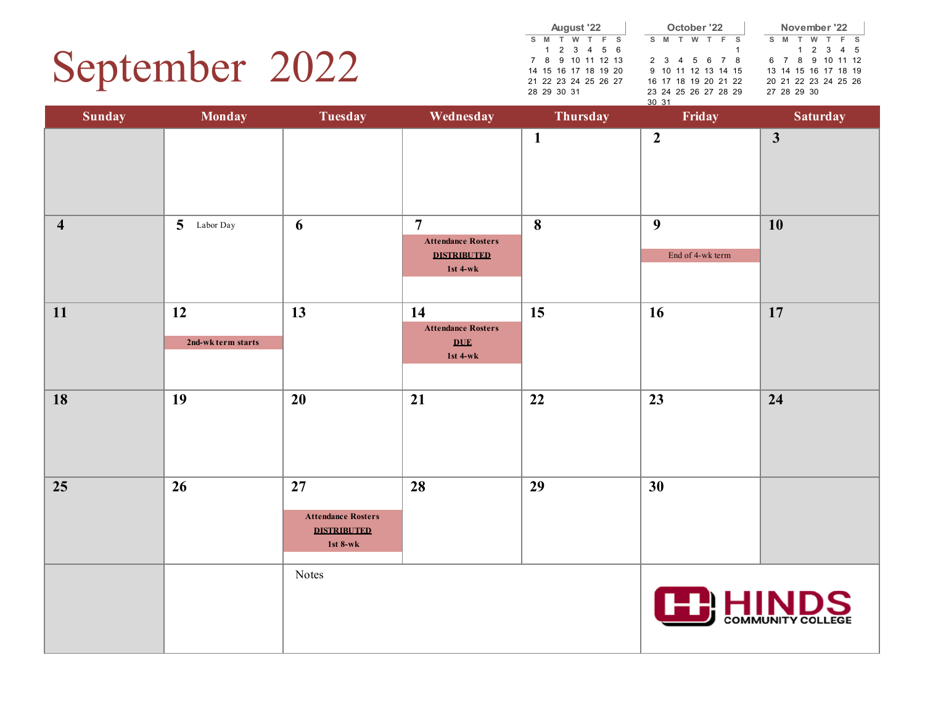### September 2022

|    |             | August '22           |  |       |  | October '22       |  |
|----|-------------|----------------------|--|-------|--|-------------------|--|
| S. |             | M T W T F S          |  |       |  | S M T W T F       |  |
|    |             | 1 2 3 4 5 6          |  |       |  |                   |  |
|    |             | 7 8 9 10 11 12 13    |  |       |  | 2 3 4 5 6 7       |  |
|    |             | 14 15 16 17 18 19 20 |  |       |  | 9 10 11 12 13 14  |  |
|    |             | 21 22 23 24 25 26 27 |  |       |  | 16 17 18 19 20 21 |  |
|    | 28 29 30 31 |                      |  |       |  | 23 24 25 26 27 28 |  |
|    |             |                      |  | 30 31 |  |                   |  |

|    |   | October '22          |  |  |  | November '22         |           |  |
|----|---|----------------------|--|--|--|----------------------|-----------|--|
| S. |   | M T W T F S          |  |  |  | S M T W T F S        |           |  |
|    |   |                      |  |  |  |                      | 1 2 3 4 5 |  |
|    |   | 2 3 4 5 6 7 8        |  |  |  | 6 7 8 9 10 11 12     |           |  |
|    |   | 9 10 11 12 13 14 15  |  |  |  | 13 14 15 16 17 18 19 |           |  |
|    |   | 16 17 18 19 20 21 22 |  |  |  | 20 21 22 23 24 25 26 |           |  |
|    |   | 23 24 25 26 27 28 29 |  |  |  | 27 28 29 30          |           |  |
|    | . |                      |  |  |  |                      |           |  |

| <b>Sunday</b>           | <b>Monday</b>            | <b>Tuesday</b>                                                    | Wednesday                                                                     | Thursday         | Friday                               | <b>Saturday</b> |
|-------------------------|--------------------------|-------------------------------------------------------------------|-------------------------------------------------------------------------------|------------------|--------------------------------------|-----------------|
|                         |                          |                                                                   |                                                                               | $\mathbf{1}$     | $\overline{2}$                       | $\mathbf{3}$    |
| $\overline{\mathbf{4}}$ | 5 Labor Day              | 6                                                                 | $\overline{7}$<br><b>Attendance Rosters</b><br><b>DISTRIBUTED</b><br>1st 4-wk | $\boldsymbol{8}$ | $\boldsymbol{9}$<br>End of 4-wk term | <b>10</b>       |
| 11                      | 12<br>2nd-wk term starts | 13                                                                | 14<br><b>Attendance Rosters</b><br>$\underline{\text{DUE}}$<br>1st 4-wk       | 15               | 16                                   | 17              |
| 18                      | 19                       | 20                                                                | 21                                                                            | 22               | $\overline{23}$                      | 24              |
| 25                      | 26                       | 27<br><b>Attendance Rosters</b><br><b>DISTRIBUTED</b><br>1st 8-wk | 28                                                                            | 29               | 30                                   |                 |
|                         |                          | Notes                                                             |                                                                               |                  | <b>ED</b> HINDS                      |                 |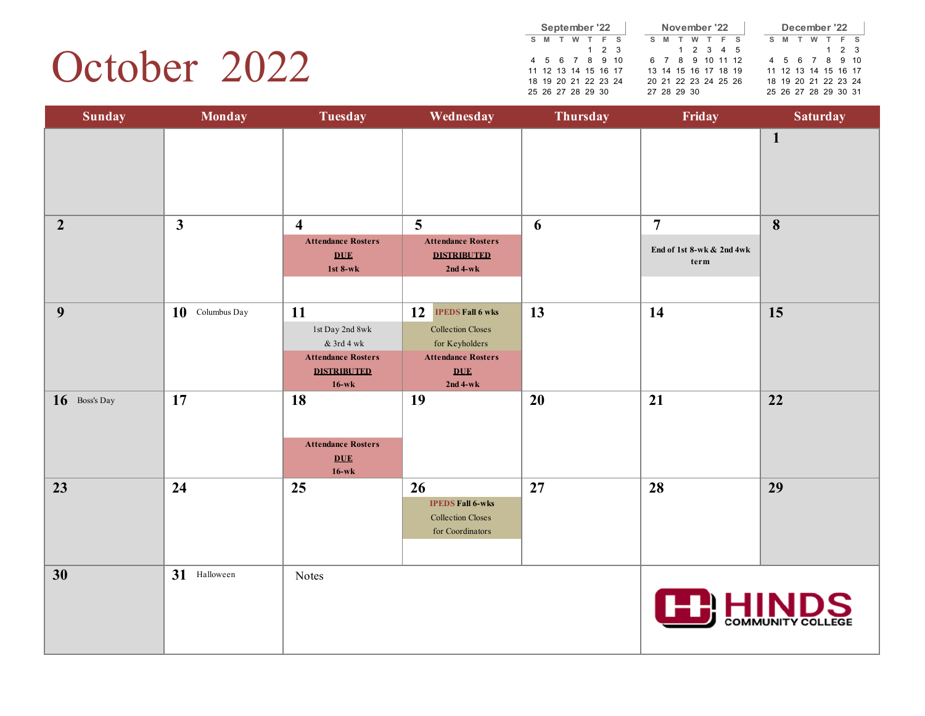### October 2022

|    |   |   | September '22        |             |     |  |     | November '22         |   |     |  |   |   |   | December '22         |       |  |
|----|---|---|----------------------|-------------|-----|--|-----|----------------------|---|-----|--|---|---|---|----------------------|-------|--|
| S. | M | w |                      |             | F S |  | S M |                      | w | F S |  | s | M | w |                      | F S   |  |
|    |   |   |                      | $1 \t2 \t3$ |     |  |     | 1 2 3 4 5            |   |     |  |   |   |   |                      | 1 2 3 |  |
|    |   |   | 4 5 6 7 8 9 10       |             |     |  |     | 6 7 8 9 10 11 12     |   |     |  |   |   |   | 4 5 6 7 8 9 10       |       |  |
|    |   |   | 11 12 13 14 15 16 17 |             |     |  |     | 13 14 15 16 17 18 19 |   |     |  |   |   |   | 11 12 13 14 15 16 17 |       |  |
|    |   |   | 18 19 20 21 22 23 24 |             |     |  |     | 20 21 22 23 24 25 26 |   |     |  |   |   |   | 18 19 20 21 22 23 24 |       |  |
|    |   |   | 25 26 27 28 29 30    |             |     |  |     | 27 28 29 30          |   |     |  |   |   |   | 25 26 27 28 29 30 31 |       |  |

| <b>Sunday</b>   | <b>Monday</b>      | <b>Tuesday</b>                                                                                                             | Wednesday                                                                                                                                          | Thursday | Friday                                              | <b>Saturday</b>          |
|-----------------|--------------------|----------------------------------------------------------------------------------------------------------------------------|----------------------------------------------------------------------------------------------------------------------------------------------------|----------|-----------------------------------------------------|--------------------------|
|                 |                    |                                                                                                                            |                                                                                                                                                    |          |                                                     | $\mathbf{1}$             |
| $\overline{2}$  | $\mathbf{3}$       | $\overline{\mathbf{4}}$<br><b>Attendance Rosters</b><br>DUE<br>1st $8-wk$                                                  | 5<br><b>Attendance Rosters</b><br><b>DISTRIBUTED</b><br>$2nd$ 4-wk                                                                                 | 6        | $\overline{7}$<br>End of 1st 8-wk & 2nd 4wk<br>term | 8                        |
| 9               | 10<br>Columbus Day | 11<br>$1\mathrm{st}$ Day 2nd $8\mathrm{wk}$<br>$\&$ 3rd 4 wk<br><b>Attendance Rosters</b><br><b>DISTRIBUTED</b><br>$16-wk$ | 12<br><b>IPEDS Fall 6 wks</b><br><b>Collection Closes</b><br>for Keyholders<br><b>Attendance Rosters</b><br>$\underline{\text{DUE}}$<br>$2nd$ 4-wk | 13       | 14                                                  | 15                       |
| $16$ Boss's Day | 17                 | 18<br><b>Attendance Rosters</b><br>DUE<br>$16-wk$                                                                          | 19                                                                                                                                                 | 20       | 21                                                  | 22                       |
| 23              | 24                 | 25                                                                                                                         | 26<br><b>IPEDS Fall 6-wks</b><br><b>Collection Closes</b><br>for Coordinators                                                                      | 27       | 28                                                  | 29                       |
| 30              | 31 Halloween       | Notes                                                                                                                      |                                                                                                                                                    |          |                                                     | <b>COMMUNITY COLLEGE</b> |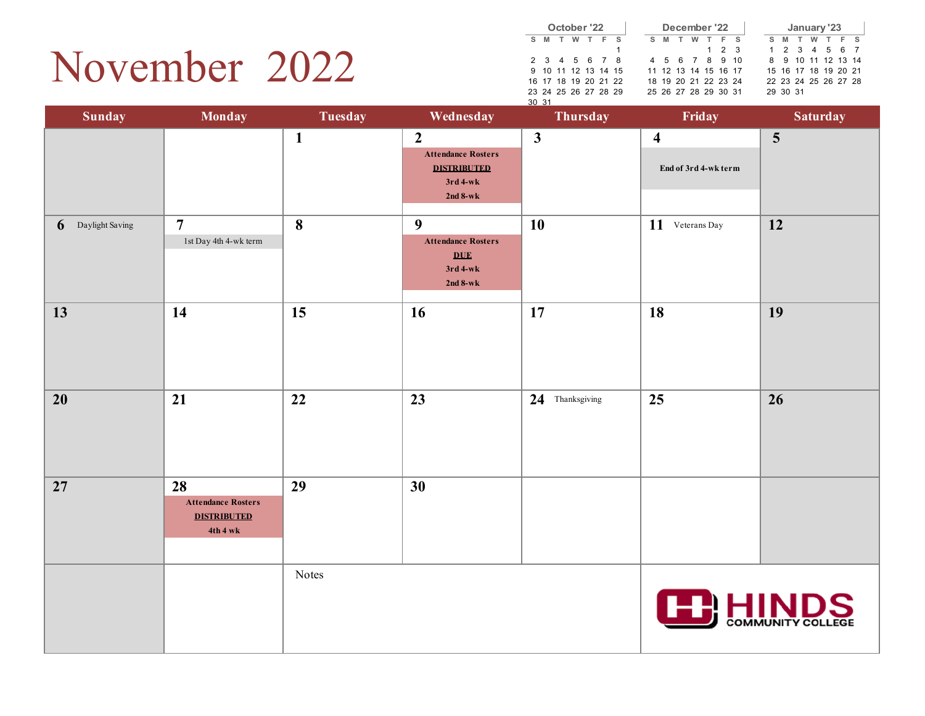### November 2022

|       |                      |   | October '22 |                     |   |   |   | December '22         |             |  |    |                      | January '23 |   |       |  |
|-------|----------------------|---|-------------|---------------------|---|---|---|----------------------|-------------|--|----|----------------------|-------------|---|-------|--|
| s     | M                    | w | T F S       |                     | s | M | W |                      | F S         |  | s. | <b>M</b>             | т           | w | T F S |  |
|       |                      |   |             |                     |   |   |   |                      | $1 \t2 \t3$ |  |    | 1 2 3 4 5 6 7        |             |   |       |  |
|       | 2 3 4 5 6 7 8        |   |             |                     |   |   |   | 4 5 6 7 8 9 10       |             |  |    | 8 9 10 11 12 13 14   |             |   |       |  |
|       |                      |   |             | 9 10 11 12 13 14 15 |   |   |   | 11 12 13 14 15 16 17 |             |  |    | 15 16 17 18 19 20 21 |             |   |       |  |
|       | 16 17 18 19 20 21 22 |   |             |                     |   |   |   | 18 19 20 21 22 23 24 |             |  |    | 22 23 24 25 26 27 28 |             |   |       |  |
|       | 23 24 25 26 27 28 29 |   |             |                     |   |   |   | 25 26 27 28 29 30 31 |             |  |    | 29 30 31             |             |   |       |  |
| 30 31 |                      |   |             |                     |   |   |   |                      |             |  |    |                      |             |   |       |  |

| <b>Sunday</b>        | <b>Monday</b>                                                     | <b>Tuesday</b> | Wednesday                                                                                       | Thursday        | Friday                                          | <b>Saturday</b>   |  |
|----------------------|-------------------------------------------------------------------|----------------|-------------------------------------------------------------------------------------------------|-----------------|-------------------------------------------------|-------------------|--|
|                      |                                                                   | $\mathbf{1}$   | $\boldsymbol{2}$<br><b>Attendance Rosters</b><br><b>DISTRIBUTED</b><br>$3rd$ 4-wk<br>$2nd 8-wk$ | $\mathbf{3}$    | $\overline{\mathbf{4}}$<br>End of 3rd 4-wk term | 5                 |  |
| Daylight Saving<br>6 | $\overline{7}$<br>1st Day 4th 4-wk term                           | 8              | $\boldsymbol{9}$<br><b>Attendance Rosters</b><br><b>DUE</b><br>$3rd$ 4-wk<br>$2nd 8-wk$         | <b>10</b>       | 11 Veterans Day                                 | 12                |  |
| 13                   | 14                                                                | 15             | 16                                                                                              | 17              | 18                                              | 19                |  |
| 20                   | 21                                                                | 22             | 23                                                                                              | 24 Thanksgiving | 25                                              | 26                |  |
| 27                   | 28<br><b>Attendance Rosters</b><br><b>DISTRIBUTED</b><br>4th 4 wk | 29             | 30                                                                                              |                 |                                                 |                   |  |
|                      |                                                                   | Notes          |                                                                                                 |                 | <b>TE: HINDS</b>                                | COMMUNITY COLLEGE |  |